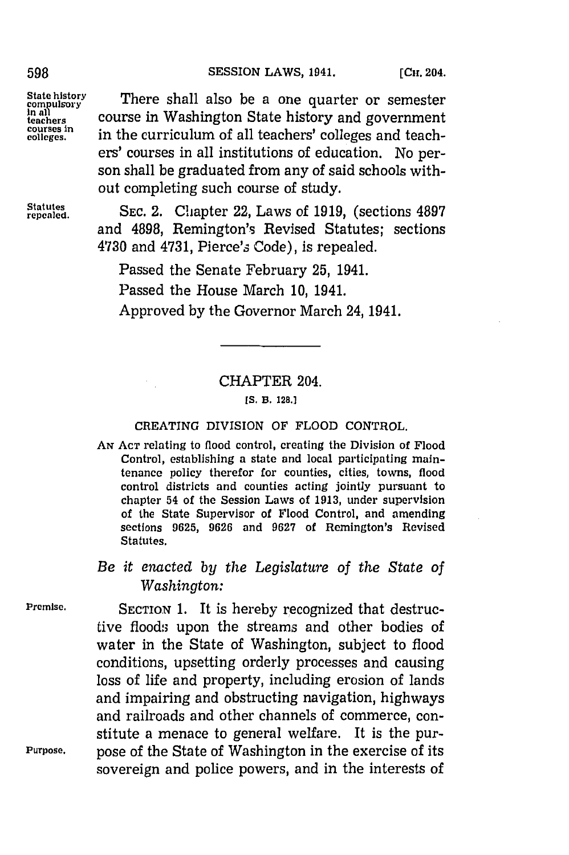### 598 **SESSION LAWS, 1941.** [CH], 204.

State history **There** shall also be a one quarter or semeste State history<br> **In all also be a one quarter or semester**<br> **In all**<br> **In all courses in Washington State history and government<br>
courses in the curriculum of all teachers' colleges and teach-<br>
colleges and teach**in the curriculum of all teachers' colleges and teachers' courses in all institutions of education. No person shall be graduated from any of said schools without completing such course of study.

repeled. **SEC.** 2. Chapter 22, Laws of **1919,** (sections **4897** and **4898,** Remington's Revised Statutes; sections 4730 and 4731, Pierce's Code), is repealed.

Passed the Senate February **25,** 1941.

Passed the House March **10,** 1941.

Approved **by** the Governor March 24, 1941.

# CHAPTER 204.

#### **[S. B. 128.]**

### **CREATING** DIVISION OF FLOOD CONTROL.

**AN ACT** relating to flood control, creating the Division of Flood Control, establishing a state and local participating maintenance policy therefor for counties, cities, towns, flood control districts and counties acting jointly pursuant to chapter 54 of the Session Laws of **1913,** under supervision of the State Supervisor of Flood Control, and amending sections **9625, 9626** and **9627** of Remington's Revised Statutes.

# *Be it enacted by the Legislature of the State of Washington:*

*Premise.* SECTION **1.** It is hereby recognized that destructive floods upon the streams and other bodies of water in the State of Washington, subject to flood conditions, upsetting orderly processes and causing loss of life and property, including erosion of lands and impairing and obstructing navigation, highways and railroads and other channels of commerce, constitute a menace to general welfare. It is the pur-Purpose, pose of the State of Washington in the exercise of its sovereign and police powers, and in the interests of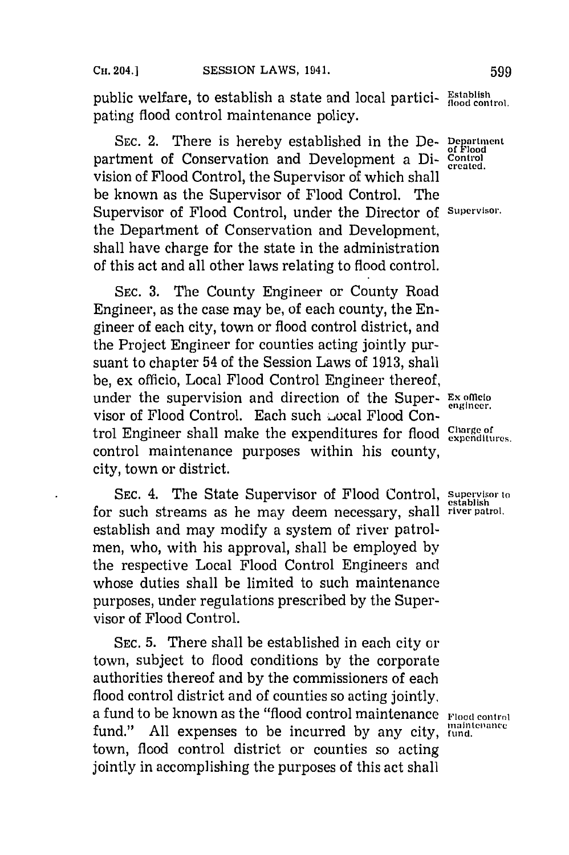public welfare, to establish a state and local partici- **Establish** (iood control. pating flood control maintenance policy.

SEC. 2. There is hereby established in the De- **Department** partment of Conservation and Development a Di- **Control** vision of Flood Control, the Supervisor of which shall be known as the Supervisor of Flood Control. The Supervisor of Flood Control, under the Director of **Supervisor.** the Department of Conservation and Development, shall have charge for the state in the administration of this act and all other laws relating to flood control.

**SEC. 3.** The County Engineer or County Road Engineer, as the case may be, of each county, the Engineer of each city, town or flood control district, and the Project Engineer for counties acting jointly pursuant to chapter 54 of the Session Laws of **1913,** shall be, ex officio, Local Flood Control Engineer thereof, under the supervision and direction of the Super- **Examined** visor of Flood Control. Each such a coal Flood Control Engineer shall make the expenditures for flood *Charge of trol* Engineer shall make the expenditures. control maintenance purposes within his county, city, town or district.

SEC. 4. The State Supervisor of Flood Control, Supervisor to for such streams as he may deem necessary, shall **river patrol,** establish and may modify a system of river patrolmen, who, with his approval, shall be employed **by** the respective Local Flood Control Engineers and whose duties shall be limited to such maintenance purposes, under regulations prescribed **by** the Supervisor of Flood Control.

**SEC. 5.** There shall be established in each city or town, subject to flood conditions **by** the corporate authorities thereof and **by** the commissioners of each flood control district and of counties so acting jointly, a fund to be known as the "flood control maintenance **Flood** control fund." All expenses to be incurred by any city, **fundificance** town, flood control district or counties so acting jointly in accomplishing the purposes of this act shall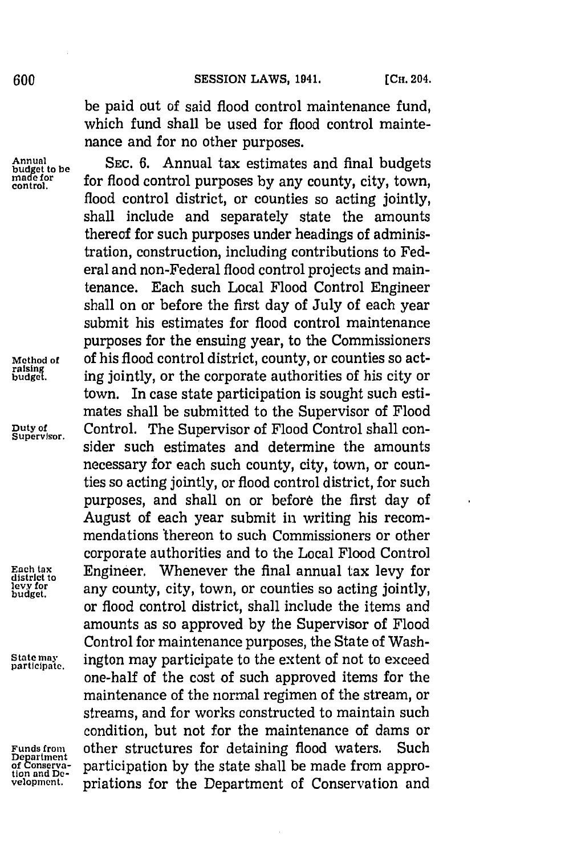be paid out of said flood control maintenance fund, which fund shall be used for flood control maintenance and for no other purposes.

Annual<br>budget to be SEC. 6. Annual tax estimates and final budgets<br>made for final purposes by any county city town made for **flood control purposes** by any county, city, town, flood control district, or counties so acting jointly. shall include and separately state the amounts thereof for such purposes under headings of administration, construction, including contributions to Federal and non-Federal flood control projects and maintenance. Each such Local Flood Control Engineer shall on or before the first day of July of each year submit his estimates for flood control maintenance purposes for the ensuing year, to the Commissioners Method of **of his flood control district, county, or counties so act-**<br>raising ing iointly, or the corporate authorities of his city or ing jointly, or the corporate authorities of his city or town. In case state participation is sought such estimates shall be submitted to the Supervisor of Flood Duty of Control. The Supervisor of Flood Control shall consider such estimates and determine the amounts necessary for each such county, city, town, or counties so acting jointly, or flood control district, for such purposes, and shall on or before the first day of August of each year submit in writing his recommendations 'thereon to such Commissioners or other corporate authorities and to the Local Flood Control Each tax **Engineer.** Whenever the final annual tax levy for level to **a** district to **any** county, city, town, or counties so acting jointly, **buetfo** any county, city, town, or counties so acting jointly, or flood control district, shall include the items and amounts as so approved **by** the Supervisor of Flood Control for maintenance purposes, the State of Wash-State may **ington** may participate to the extent of not to exceed participate. one-half of the cost of such approved items for the maintenance of the normal regimen of the stream, or streams, and for works constructed to maintain such condition, but not for the maintenance of dams or Funds from **other structures for detaining flood waters.** Such began<br>tion and Decreasive participation by the state shall be made from appro-<br>tion and Departicipation by the state shall be made from approvelopment. priations for the Department of Conservation and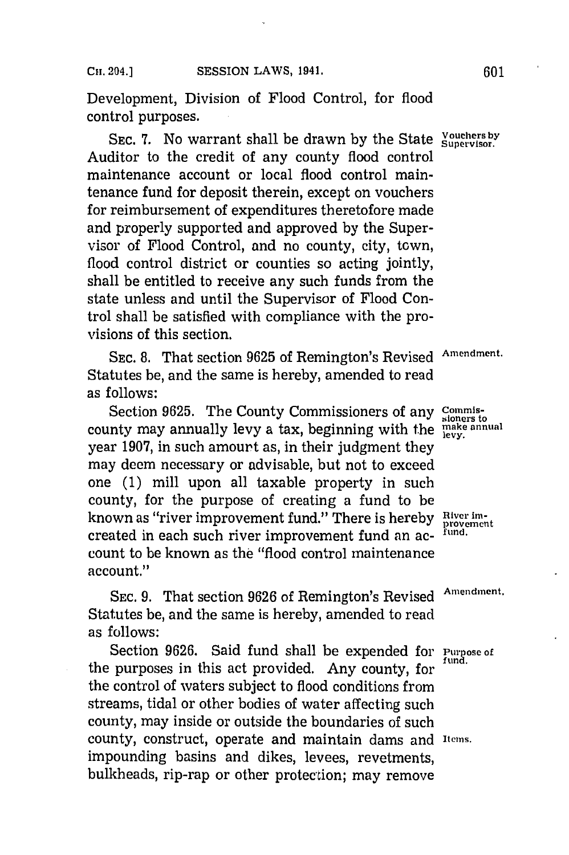Development, Division of Flood Control, for flood control purposes.

SEC. 7. No warrant shall be drawn by the State **Supervisor.** Auditor to the credit of any county flood control maintenance account or local flood control maintenance fund for deposit therein, except on vouchers for reimbursement of expenditures theretofore made and properly supported and approved **by** the Supervisor of Flood Control, and no county, city, town, flood control district or counties so acting jointly, shall be entitled to receive any such funds from the state unless and until the Supervisor of Flood Control shall be satisfied with compliance with the provisions of this section.

**SEC. 8.** That section **9625** of Remington's Revised **Amendment.** Statutes be, and the same is hereby, amended to read as follows:

Section 9625. The County Commissioners of any Commissioners to county may annually levy a tax, beginning with the **mke annual** year **1907,** in such amourt as, in their judgment they may deem necessary or advisable, but not to exceed one **(1)** mill upon all taxable property in such county, for the purpose of creating a fund to be known as "river improvement fund." There is hereby River imcreated in each such river improvement fund an ac- **fund.** count to be known as the "flood control maintenance account."

SEC. **9.** That section **9626** of Remington's Revised **Amendment.** Statutes be, and the same is hereby, amended to read as follows:

Section **9626.** Said fund shall be expended for **Purpose of** the purposes in this act provided. Any county, for the control of waters subject to flood conditions from streams, tidal or other bodies of water affecting such county, may inside or outside the boundaries of such county, construct, operate and maintain dams and Items. impounding basins and dikes, levees, revetments, bulkheads, rip-rap or other protection; may remove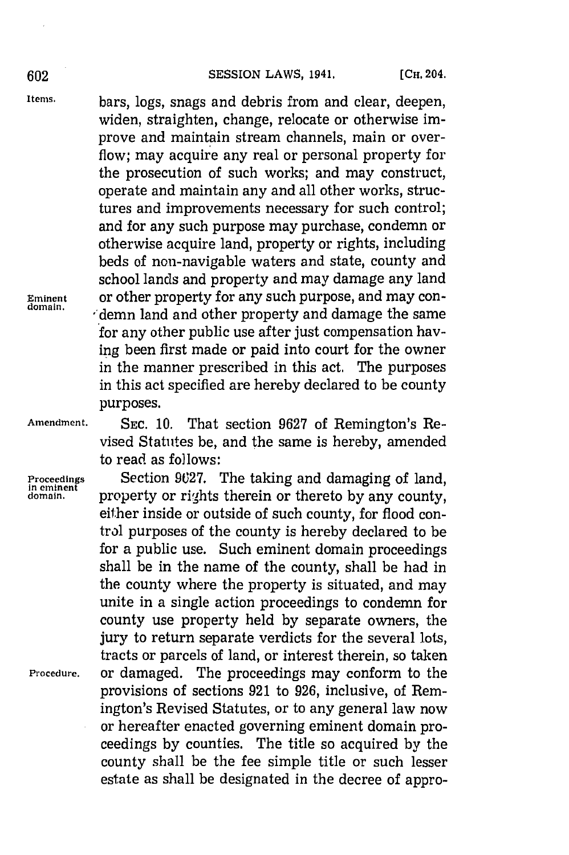**Items,** bars, logs, snags and debris from and clear, deepen, widen, straighten, change, relocate or otherwise improve and maintain stream channels, main or overflow; may acquire any real or personal property for the prosecution of such works; and may construct, operate and maintain any and all other works, structures and improvements necessary for such control; and for any such purpose may purchase, condemn or otherwise acquire land, property or rights, including beds of non-navigable waters and state, county and school lands and property and may damage any land **Eminent** or other property for any such purpose, and may condemn land and other property and damage the same for any other public use after just compensation having been first made or paid into court for the owner in the manner prescribed in this act. The purposes in this act specified are hereby declared to be county purposes.

**Amendment. SEC. 10.** That section **9627** of Remington's Revised Statutes be, and the same is hereby, amended to read as follows:

**Proceedings** Section 9627. The taking and damaging of land, in eminent property or rights therein or thereto by any county. **domain,** property or rights therein or thereto **by** any county, either inside or outside of such county, for flood control purposes of the county is hereby declared to be for a public use. Such eminent domain proceedings shall be in the name of the county, shall be had in the county where the property is situated, and may unite in a single action proceedings to condemn for county use property held **by** separate owners, the jury to return separate verdicts for the several lots, tracts or parcels of land, or interest therein, so taken **Procedure,** or damaged. The proceedings may conform to the provisions of sections **921** to **926,** inclusive, of Remington's Revised Statutes, or to any general law now or hereafter enacted governing eminent domain proceedings **by** counties. The title so acquired **by** the county shall be the fee simple title or such lesser estate as shall be designated in the decree of appro